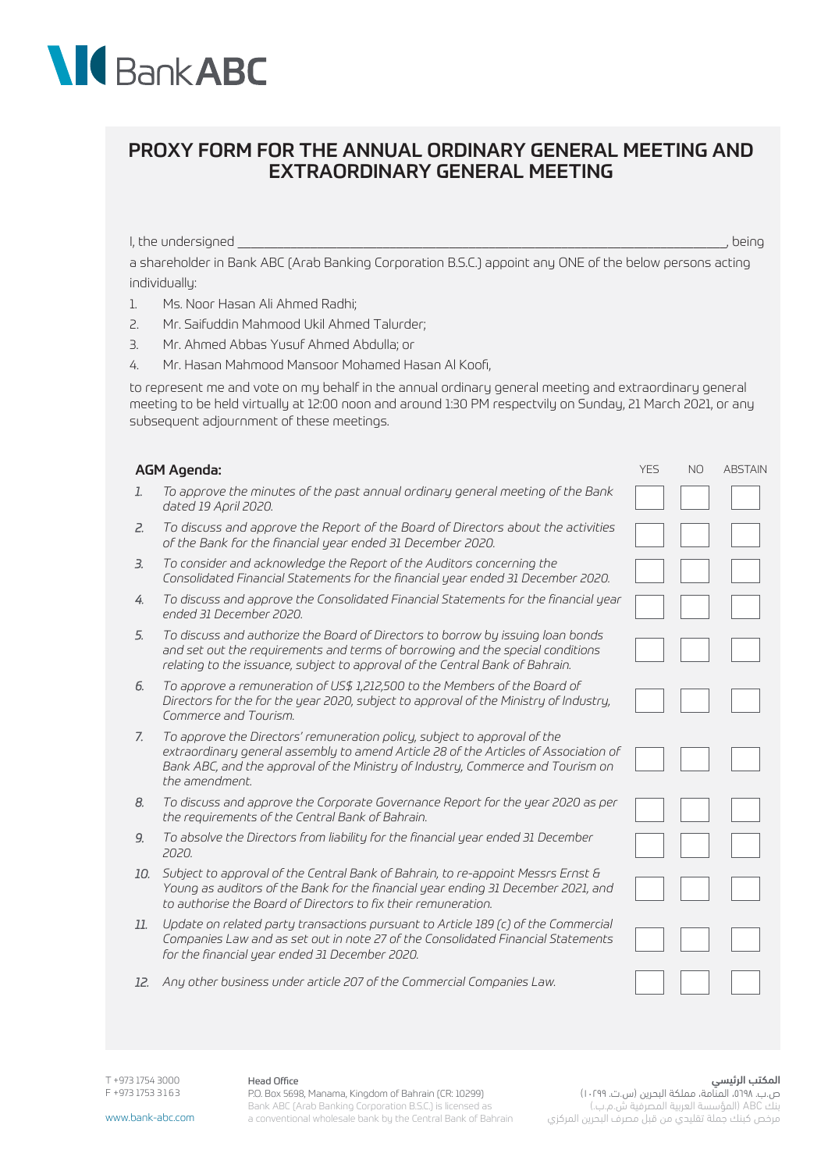# **NIC** Bank ABC

# PROXY FORM FOR THE ANNUAL ORDINARY GENERAL MEETING AND EXTRAORDINARY GENERAL MEETING

I, the undersigned and the undersigned and the understanding of the understanding  $\sim$  , being

a shareholder in Bank ABC (Arab Banking Corporation B.S.C.) appoint any ONE of the below persons acting individually:

- 1. Ms. Noor Hasan Ali Ahmed Radhi;
- 2. Mr. Saifuddin Mahmood Ukil Ahmed Talurder;
- 3. Mr. Ahmed Abbas Yusuf Ahmed Abdulla; or
- 4. Mr. Hasan Mahmood Mansoor Mohamed Hasan Al Koofi,

to represent me and vote on my behalf in the annual ordinary general meeting and extraordinary general meeting to be held virtually at 12:00 noon and around 1:30 PM respectvily on Sunday, 21 March 2021, or any subsequent adjournment of these meetings.

### AGM Agenda: YES NO ABSTAIN A SERIES AND A SERIES AND ASSAULT A SERIES AND ASSAULT A SERIES AND ABSTAIN A SERIES AND ABSTAIN

- *1. To approve the minutes of the past annual ordinary general meeting of the Bank dated 19 April 2020.*
- *2. To discuss and approve the Report of the Board of Directors about the activities of the Bank for the financial year ended 31 December 2020.*
- *3. To consider and acknowledge the Report of the Auditors concerning the Consolidated Financial Statements for the financial year ended 31 December 2020.*
- *4. To discuss and approve the Consolidated Financial Statements for the financial year ended 31 December 2020.*
- *5. To discuss and authorize the Board of Directors to borrow by issuing loan bonds and set out the requirements and terms of borrowing and the special conditions relating to the issuance, subject to approval of the Central Bank of Bahrain.*
- *6. To approve a remuneration of US\$ 1,212,500 to the Members of the Board of Directors for the for the year 2020, subject to approval of the Ministry of Industry, Commerce and Tourism.*
- *7. To approve the Directors' remuneration policy, subject to approval of the extraordinary general assembly to amend Article 28 of the Articles of Association of Bank ABC, and the approval of the Ministry of Industry, Commerce and Tourism on the amendment.*
- *8. To discuss and approve the Corporate Governance Report for the year 2020 as per the requirements of the Central Bank of Bahrain.*
- *9. To absolve the Directors from liability for the financial year ended 31 December 2020.*
- *10. Subject to approval of the Central Bank of Bahrain, to re-appoint Messrs Ernst & Young as auditors of the Bank for the financial year ending 31 December 2021, and to authorise the Board of Directors to fix their remuneration.*
- *11. Update on related party transactions pursuant to Article 189 (c) of the Commercial Companies Law and as set out in note 27 of the Consolidated Financial Statements for the financial year ended 31 December 2020.*
- *12. Any other business under article 207 of the Commercial Companies Law.*

T +973 1754 3000 F +973 1753 3 1 6 3

#### Head Office

P.O. Box 5698, Manama, Kingdom of Bahrain (CR: 10299) Bank ABC (Arab Banking Corporation B.S.C.) is licensed as a conventional wholesale bank by the Central Bank of Bahrain

#### المكتب الرئيسي

ص.ب. ،٥٦٩٨، المنّامة، مملكة البحرين (س.ت. ١٠٢٩٩) بنك ABC( المؤسسة العربية المصرفية ش.م.ب.( مرخص كبنك جملة تقليدي من قبل مصرف البحرين المركزي

www.bank-abc.com